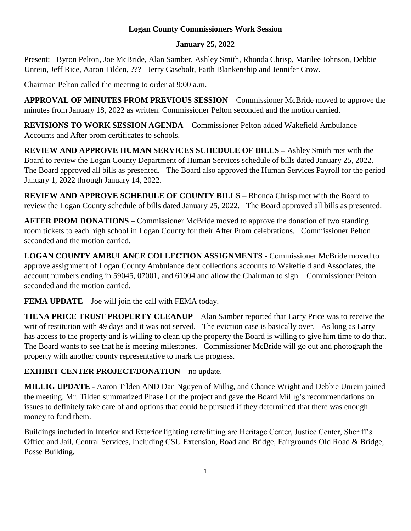## **Logan County Commissioners Work Session**

## **January 25, 2022**

Present: Byron Pelton, Joe McBride, Alan Samber, Ashley Smith, Rhonda Chrisp, Marilee Johnson, Debbie Unrein, Jeff Rice, Aaron Tilden, ??? Jerry Casebolt, Faith Blankenship and Jennifer Crow.

Chairman Pelton called the meeting to order at 9:00 a.m.

**APPROVAL OF MINUTES FROM PREVIOUS SESSION** – Commissioner McBride moved to approve the minutes from January 18, 2022 as written. Commissioner Pelton seconded and the motion carried.

**REVISIONS TO WORK SESSION AGENDA** – Commissioner Pelton added Wakefield Ambulance Accounts and After prom certificates to schools.

**REVIEW AND APPROVE HUMAN SERVICES SCHEDULE OF BILLS –** Ashley Smith met with the Board to review the Logan County Department of Human Services schedule of bills dated January 25, 2022. The Board approved all bills as presented. The Board also approved the Human Services Payroll for the period January 1, 2022 through January 14, 2022.

**REVIEW AND APPROVE SCHEDULE OF COUNTY BILLS –** Rhonda Chrisp met with the Board to review the Logan County schedule of bills dated January 25, 2022. The Board approved all bills as presented.

**AFTER PROM DONATIONS** – Commissioner McBride moved to approve the donation of two standing room tickets to each high school in Logan County for their After Prom celebrations. Commissioner Pelton seconded and the motion carried.

**LOGAN COUNTY AMBULANCE COLLECTION ASSIGNMENTS** - Commissioner McBride moved to approve assignment of Logan County Ambulance debt collections accounts to Wakefield and Associates, the account numbers ending in 59045, 07001, and 61004 and allow the Chairman to sign. Commissioner Pelton seconded and the motion carried.

**FEMA UPDATE** – Joe will join the call with FEMA today.

**TIENA PRICE TRUST PROPERTY CLEANUP** – Alan Samber reported that Larry Price was to receive the writ of restitution with 49 days and it was not served. The eviction case is basically over. As long as Larry has access to the property and is willing to clean up the property the Board is willing to give him time to do that. The Board wants to see that he is meeting milestones. Commissioner McBride will go out and photograph the property with another county representative to mark the progress.

## **EXHIBIT CENTER PROJECT/DONATION** – no update.

**MILLIG UPDATE** - Aaron Tilden AND Dan Nguyen of Millig, and Chance Wright and Debbie Unrein joined the meeting. Mr. Tilden summarized Phase I of the project and gave the Board Millig's recommendations on issues to definitely take care of and options that could be pursued if they determined that there was enough money to fund them.

Buildings included in Interior and Exterior lighting retrofitting are Heritage Center, Justice Center, Sheriff's Office and Jail, Central Services, Including CSU Extension, Road and Bridge, Fairgrounds Old Road & Bridge, Posse Building.